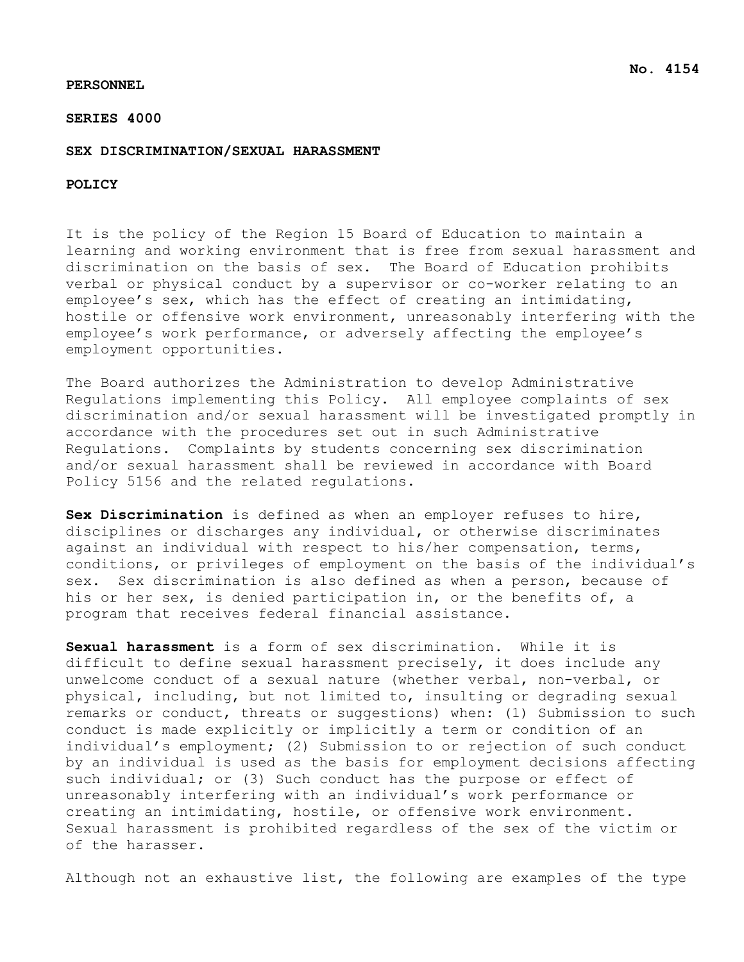#### **PERSONNEL**

### **SERIES 4000**

### **SEX DISCRIMINATION/SEXUAL HARASSMENT**

### **POLICY**

It is the policy of the Region 15 Board of Education to maintain a learning and working environment that is free from sexual harassment and discrimination on the basis of sex. The Board of Education prohibits verbal or physical conduct by a supervisor or co-worker relating to an employee's sex, which has the effect of creating an intimidating, hostile or offensive work environment, unreasonably interfering with the employee's work performance, or adversely affecting the employee's employment opportunities.

The Board authorizes the Administration to develop Administrative Regulations implementing this Policy. All employee complaints of sex discrimination and/or sexual harassment will be investigated promptly in accordance with the procedures set out in such Administrative Regulations. Complaints by students concerning sex discrimination and/or sexual harassment shall be reviewed in accordance with Board Policy 5156 and the related regulations.

**Sex Discrimination** is defined as when an employer refuses to hire, disciplines or discharges any individual, or otherwise discriminates against an individual with respect to his/her compensation, terms, conditions, or privileges of employment on the basis of the individual's sex. Sex discrimination is also defined as when a person, because of his or her sex, is denied participation in, or the benefits of, a program that receives federal financial assistance.

**Sexual harassment** is a form of sex discrimination. While it is difficult to define sexual harassment precisely, it does include any unwelcome conduct of a sexual nature (whether verbal, non-verbal, or physical, including, but not limited to, insulting or degrading sexual remarks or conduct, threats or suggestions) when: (1) Submission to such conduct is made explicitly or implicitly a term or condition of an individual's employment; (2) Submission to or rejection of such conduct by an individual is used as the basis for employment decisions affecting such individual; or (3) Such conduct has the purpose or effect of unreasonably interfering with an individual's work performance or creating an intimidating, hostile, or offensive work environment. Sexual harassment is prohibited regardless of the sex of the victim or of the harasser.

Although not an exhaustive list, the following are examples of the type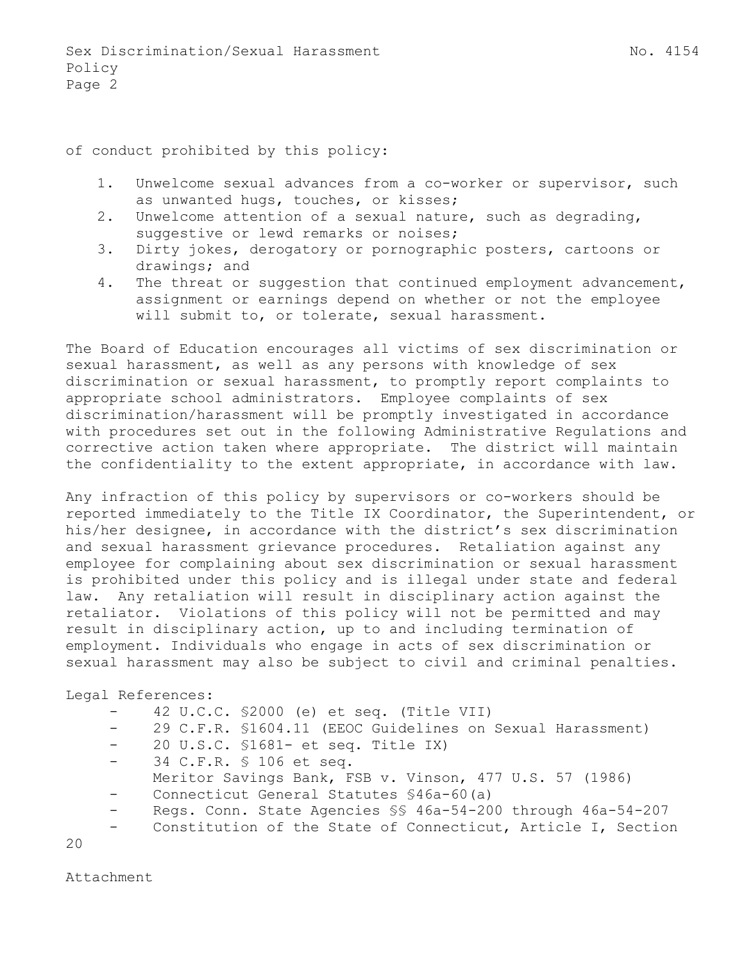## of conduct prohibited by this policy:

- 1. Unwelcome sexual advances from a co-worker or supervisor, such as unwanted hugs, touches, or kisses;
- 2. Unwelcome attention of a sexual nature, such as degrading, suggestive or lewd remarks or noises;
- 3. Dirty jokes, derogatory or pornographic posters, cartoons or drawings; and
- 4. The threat or suggestion that continued employment advancement, assignment or earnings depend on whether or not the employee will submit to, or tolerate, sexual harassment.

The Board of Education encourages all victims of sex discrimination or sexual harassment, as well as any persons with knowledge of sex discrimination or sexual harassment, to promptly report complaints to appropriate school administrators. Employee complaints of sex discrimination/harassment will be promptly investigated in accordance with procedures set out in the following Administrative Regulations and corrective action taken where appropriate. The district will maintain the confidentiality to the extent appropriate, in accordance with law.

Any infraction of this policy by supervisors or co-workers should be reported immediately to the Title IX Coordinator, the Superintendent, or his/her designee, in accordance with the district's sex discrimination and sexual harassment grievance procedures. Retaliation against any employee for complaining about sex discrimination or sexual harassment is prohibited under this policy and is illegal under state and federal law. Any retaliation will result in disciplinary action against the retaliator. Violations of this policy will not be permitted and may result in disciplinary action, up to and including termination of employment. Individuals who engage in acts of sex discrimination or sexual harassment may also be subject to civil and criminal penalties.

Legal References:

- 42 U.C.C. §2000 (e) et seq. (Title VII)
- 29 C.F.R. §1604.11 (EEOC Guidelines on Sexual Harassment)
- 20 U.S.C. §1681- et seq. Title IX)
- 34 C.F.R. § 106 et seq.
- Meritor Savings Bank, FSB v. Vinson, 477 U.S. 57 (1986)
- Connecticut General Statutes §46a-60(a)
- Regs. Conn. State Agencies §§ 46a-54-200 through 46a-54-207
- Constitution of the State of Connecticut, Article I, Section

20

Attachment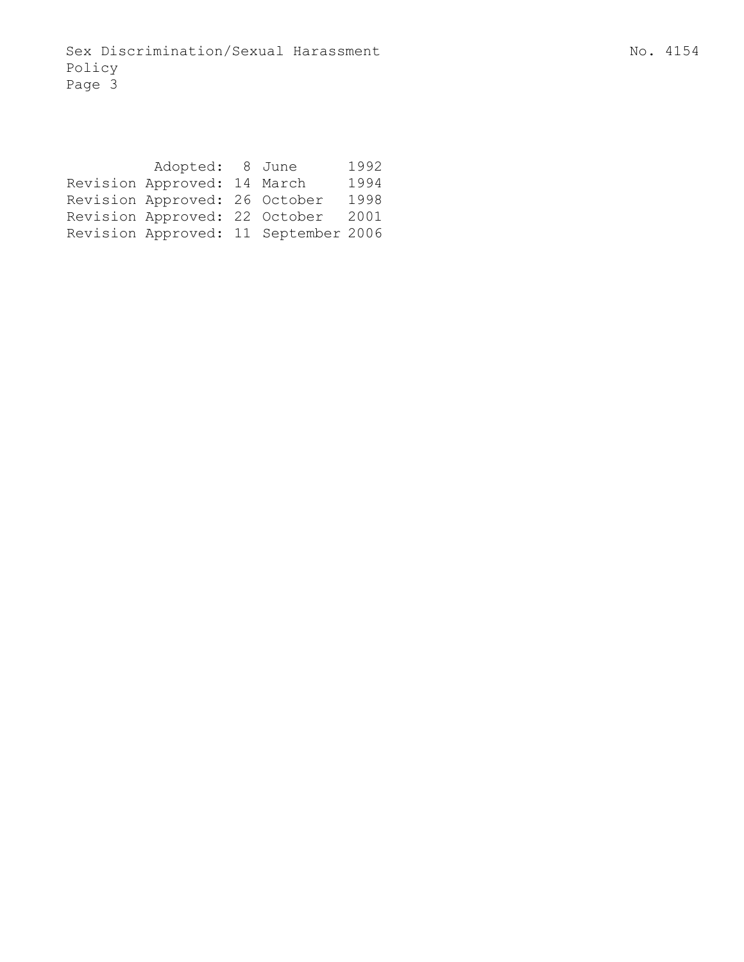| Adopted: 8 June                      |  | 1992 |
|--------------------------------------|--|------|
| Revision Approved: 14 March          |  | 1994 |
| Revision Approved: 26 October        |  | 1998 |
| Revision Approved: 22 October        |  | 2001 |
| Revision Approved: 11 September 2006 |  |      |